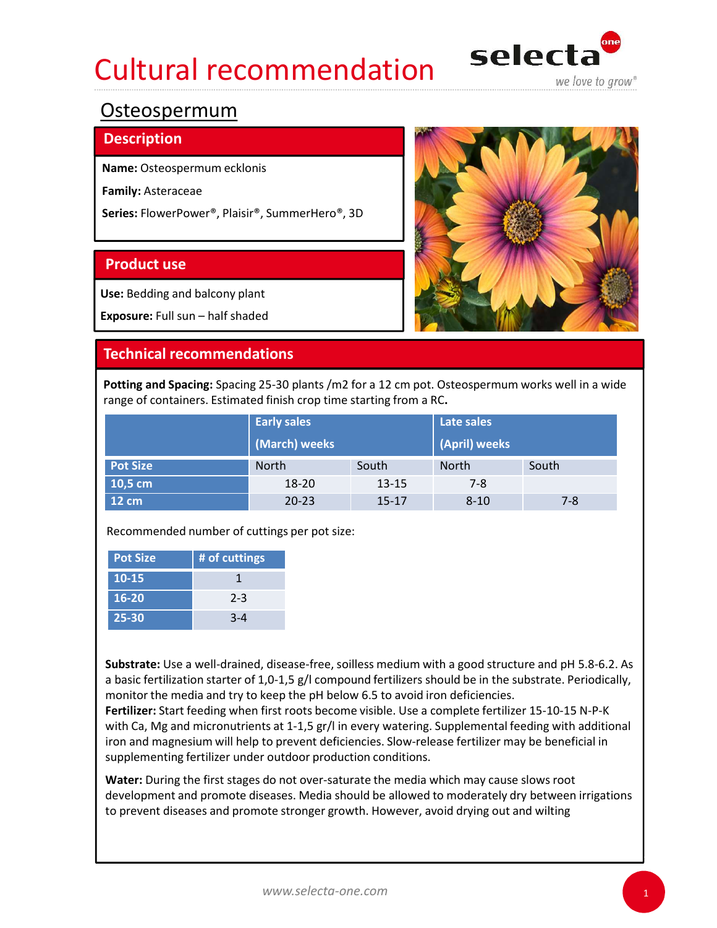# Cultural recommendation selecta Cultural recommendation<br>
Osteospermum<br>
Description<br>
Name: Osteospermum ecklonis<br>
Family: Asteraceae<br>
Series: FlowerPower®, Plaisir®, SummerHero®, 3D Experiment<br>
Disteospermum<br>
Name: Osteospermum ecklonis<br>
Name: Osteospermum ecklonis<br>
Name: Osteospermum ecklonis<br>
Name: FollowerPower®, Plaisir®, SummerHero®, 3D<br>
Product use<br>
Name: FollowerPower®, Plaisir®, SummerHero®, 3



# Osteospermum

# **Description**



| <u>Osteospermum</u>                                                                                                                                                     |               |                    |           |               |         |
|-------------------------------------------------------------------------------------------------------------------------------------------------------------------------|---------------|--------------------|-----------|---------------|---------|
| <b>Description</b>                                                                                                                                                      |               |                    |           |               |         |
| Name: Osteospermum ecklonis                                                                                                                                             |               |                    |           |               |         |
| Family: Asteraceae                                                                                                                                                      |               |                    |           |               |         |
| Series: FlowerPower®, Plaisir®, SummerHero®, 3D                                                                                                                         |               |                    |           |               |         |
| <b>Product use</b>                                                                                                                                                      |               |                    |           |               |         |
| Use: Bedding and balcony plant                                                                                                                                          |               |                    |           |               |         |
| Exposure: Full sun - half shaded                                                                                                                                        |               |                    |           |               |         |
|                                                                                                                                                                         |               |                    |           |               |         |
| <b>Technical recommendations</b>                                                                                                                                        |               |                    |           |               |         |
| Potting and Spacing: Spacing 25-30 plants /m2 for a 12 cm pot. Osteospermum works well in a wide<br>range of containers. Estimated finish crop time starting from a RC. |               |                    |           |               |         |
|                                                                                                                                                                         |               | <b>Early sales</b> |           | Late sales    |         |
|                                                                                                                                                                         |               | (March) weeks      |           | (April) weeks |         |
| <b>Pot Size</b>                                                                                                                                                         |               | North              | South     | North         | South   |
| 10,5 cm                                                                                                                                                                 |               | 18-20              | $13 - 15$ | $7 - 8$       |         |
| <b>12 cm</b>                                                                                                                                                            |               | $20 - 23$          | $15 - 17$ | $8 - 10$      | $7 - 8$ |
| Recommended number of cuttings per pot size:                                                                                                                            |               |                    |           |               |         |
| <b>Pot Size</b>                                                                                                                                                         | # of cuttings |                    |           |               |         |
| $10-15$                                                                                                                                                                 | $\mathbf{1}$  |                    |           |               |         |
| $16 - 20$                                                                                                                                                               | $2 - 3$       |                    |           |               |         |
| 25-30                                                                                                                                                                   | $3 - 4$       |                    |           |               |         |
|                                                                                                                                                                         |               |                    |           |               |         |

| <b>Pot Size</b> | # of cuttings |
|-----------------|---------------|
| $10 - 15$       |               |
| $16 - 20$       | $2 - 3$       |
| 25-30           | $3 - 4$       |

Substrate: Use a well-drained, disease-free, soilless medium with a good structure and pH 5.8-6.2. As a basic fertilization starter of 1,0-1,5 g/l compound fertilizers should be in the substrate. Periodically, monitor the media and try to keep the pH below 6.5 to avoid iron deficiencies.

Fertilizer: Start feeding when first roots become visible. Use a complete fertilizer 15-10-15 N-P-K with Ca, Mg and micronutrients at 1-1,5 gr/l in every watering. Supplemental feeding with additional iron and magnesium will help to prevent deficiencies. Slow-release fertilizer may be beneficial in supplementing fertilizer under outdoor production conditions.

Water: During the first stages do not over-saturate the media which may cause slows root development and promote diseases. Media should be allowed to moderately dry between irrigations to prevent diseases and promote stronger growth. However, avoid drying out and wilting

1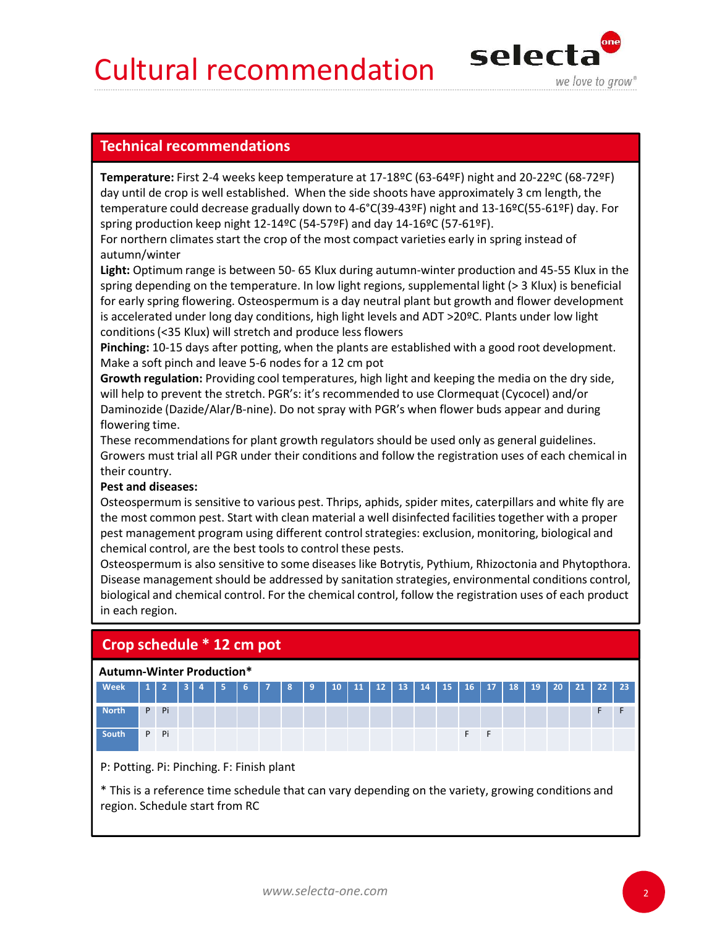

Temperature: First 2-4 weeks keep temperature at 17-18ºC (63-64ºF) night and 20-22ºC (68-72ºF) day until de crop is well established. When the side shoots have approximately 3 cm length, the temperature could decrease gradually down to 4-6°C(39-43ºF) night and 13-16ºC(55-61ºF) day. For spring production keep night 12-14ºC (54-57ºF) and day 14-16ºC (57-61ºF). Cultural recommendations<br>
Technical recommendations<br>
Technical recommendations<br>
Temperature: First 2-4 weeks keep temperature at 17-18ºC (63-64ºF) night and 20-22<br>
day until de crop is well established. When the side shoot

For northern climates start the crop of the most compact varieties early in spring instead of autumn/winter

**Cultural recommendations**<br> **Cultural recommendations**<br> **Temperature:** First 2-4 weeks keep temperature at 17-18°C (63-64°F) night and 20-22°C (68-72°F)<br>
day until de crop is well established. When the side shoots have app spring depending on the temperature. In low light regions, supplemental light (> 3 Klux) is beneficial **Cultural recommendations**<br> **Fremerature:** First 2-4 weeks keep temperature at 17-18ºC (63-64ºF) night and 20-22ºC (68-72ºF)<br>
day until de crop is well established. When the side shoots have approximately 3 cm length, the<br> is accelerated under long day conditions, high light levels and ADT >20ºC. Plants under low light conditions (<35 Klux) will stretch and produce less flowers **Technical recommendations**<br> **Temperature**: First 2-4 weeks keep temperature at 17-18ºC (63-64ºF) night and 20-22ºC (68-72ºF)<br>day until de crop is well established. When the side shoots have approximately 3 cm length, the<br> remerature cound oercrease graduality of two-to-193+43+r) ingit and 13-16=C(52-612F) and the compartic counter the copy of the most compact varieties early in spring instead of for northern climates start the crop of the m Lignt: Optimum range is foreween 30- to so kuo coming arutm-niven production and 43-55 kink in the registration and the registration and the registrated under into the registrated under into the conditions, build stretch a

Pinching: 10-15 days after potting, when the plants are established with a good root development. Make a soft pinch and leave 5-6 nodes for a 12 cm pot

Growth regulation: Providing cool temperatures, high light and keeping the media on the dry side, Daminozide (Dazide/Alar/B-nine). Do not spray with PGR's when flower buds appear and during flowering time.

### Pest and diseases:

Disease management should be addressed by sanitation strategies, environmental conditions control, biological and chemical control. For the chemical control, follow the registration uses of each product in each region. Make a soft pinch and leave 5-6 nodes for a 12 cm pot<br>
Make a soft pinch and leave 5-6 nodes for a 12 cm pot<br>
Growth regulation: Providing cool temperatures, high light and keeping the media on the dry<br>
will help to preven

## Autumn-Winter Production\*

| flowering time.                                                                                                                      |      |  | Daminozide (Dazide/Alar/B-nine). Do not spray with PGR's when flower buds appear and during |  |  |  |  |  |    |   |  | will help to prevent the stretch. PGR's: it's recommended to use Clormequat (Cycocel) and/or |  |  |
|--------------------------------------------------------------------------------------------------------------------------------------|------|--|---------------------------------------------------------------------------------------------|--|--|--|--|--|----|---|--|----------------------------------------------------------------------------------------------|--|--|
| These recommendations for plant growth regulators should be used only as general guidelines.                                         |      |  |                                                                                             |  |  |  |  |  |    |   |  |                                                                                              |  |  |
| Growers must trial all PGR under their conditions and follow the registration uses of each chemical in                               |      |  |                                                                                             |  |  |  |  |  |    |   |  |                                                                                              |  |  |
| their country.                                                                                                                       |      |  |                                                                                             |  |  |  |  |  |    |   |  |                                                                                              |  |  |
| <b>Pest and diseases:</b>                                                                                                            |      |  |                                                                                             |  |  |  |  |  |    |   |  |                                                                                              |  |  |
| Osteospermum is sensitive to various pest. Thrips, aphids, spider mites, caterpillars and white fly are                              |      |  |                                                                                             |  |  |  |  |  |    |   |  |                                                                                              |  |  |
| the most common pest. Start with clean material a well disinfected facilities together with a proper                                 |      |  |                                                                                             |  |  |  |  |  |    |   |  |                                                                                              |  |  |
| pest management program using different control strategies: exclusion, monitoring, biological and                                    |      |  |                                                                                             |  |  |  |  |  |    |   |  |                                                                                              |  |  |
| chemical control, are the best tools to control these pests.                                                                         |      |  |                                                                                             |  |  |  |  |  |    |   |  |                                                                                              |  |  |
| Osteospermum is also sensitive to some diseases like Botrytis, Pythium, Rhizoctonia and Phytopthora.                                 |      |  |                                                                                             |  |  |  |  |  |    |   |  |                                                                                              |  |  |
| Disease management should be addressed by sanitation strategies, environmental conditions control,                                   |      |  |                                                                                             |  |  |  |  |  |    |   |  |                                                                                              |  |  |
| biological and chemical control. For the chemical control, follow the registration uses of each product                              |      |  |                                                                                             |  |  |  |  |  |    |   |  |                                                                                              |  |  |
| in each region.                                                                                                                      |      |  |                                                                                             |  |  |  |  |  |    |   |  |                                                                                              |  |  |
|                                                                                                                                      |      |  |                                                                                             |  |  |  |  |  |    |   |  |                                                                                              |  |  |
|                                                                                                                                      |      |  |                                                                                             |  |  |  |  |  |    |   |  |                                                                                              |  |  |
| Crop schedule * 12 cm pot                                                                                                            |      |  |                                                                                             |  |  |  |  |  |    |   |  |                                                                                              |  |  |
| Autumn-Winter Production*                                                                                                            |      |  |                                                                                             |  |  |  |  |  |    |   |  |                                                                                              |  |  |
| Week                                                                                                                                 |      |  |                                                                                             |  |  |  |  |  |    |   |  |                                                                                              |  |  |
| <b>North</b><br>P.                                                                                                                   | Pi   |  |                                                                                             |  |  |  |  |  |    |   |  |                                                                                              |  |  |
| <b>South</b>                                                                                                                         | P Pi |  |                                                                                             |  |  |  |  |  | F. | F |  |                                                                                              |  |  |
|                                                                                                                                      |      |  |                                                                                             |  |  |  |  |  |    |   |  |                                                                                              |  |  |
| P: Potting. Pi: Pinching. F: Finish plant                                                                                            |      |  |                                                                                             |  |  |  |  |  |    |   |  |                                                                                              |  |  |
| * This is a reference time schedule that can vary depending on the variety, growing conditions and<br>region. Schedule start from RC |      |  |                                                                                             |  |  |  |  |  |    |   |  |                                                                                              |  |  |